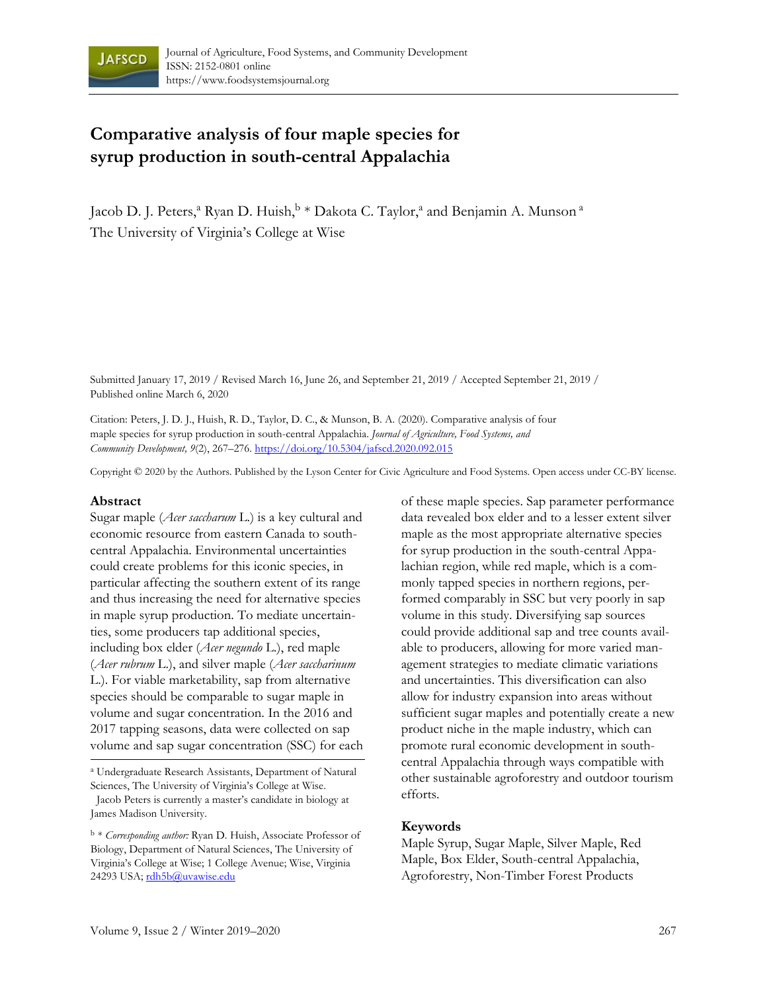

# **Comparative analysis of four maple species for syrup production in south-central Appalachia**

Jacob D. J. Peters,<sup>a</sup> Ryan D. Huish,<sup>b</sup> \* Dakota C. Taylor,<sup>a</sup> and Benjamin A. Munson<sup>a</sup> The University of Virginia's College at Wise

Submitted January 17, 2019 / Revised March 16, June 26, and September 21, 2019 / Accepted September 21, 2019 / Published online March 6, 2020

Citation: Peters, J. D. J., Huish, R. D., Taylor, D. C., & Munson, B. A. (2020). Comparative analysis of four maple species for syrup production in south-central Appalachia. *Journal of Agriculture, Food Systems, and Community Development, 9*(2), 267–276. https://doi.org/10.5304/jafscd.2020.092.015

Copyright © 2020 by the Authors. Published by the Lyson Center for Civic Agriculture and Food Systems. Open access under CC-BY license.

#### **Abstract**

Sugar maple (*Acer saccharum* L.) is a key cultural and economic resource from eastern Canada to southcentral Appalachia. Environmental uncertainties could create problems for this iconic species, in particular affecting the southern extent of its range and thus increasing the need for alternative species in maple syrup production. To mediate uncertainties, some producers tap additional species, including box elder (*Acer negundo* L.), red maple (*Acer rubrum* L.), and silver maple (*Acer saccharinum*  L.). For viable marketability, sap from alternative species should be comparable to sugar maple in volume and sugar concentration. In the 2016 and 2017 tapping seasons, data were collected on sap volume and sap sugar concentration (SSC) for each

a Undergraduate Research Assistants, Department of Natural Sciences, The University of Virginia's College at Wise.

 Jacob Peters is currently a master's candidate in biology at James Madison University.

<sup>b</sup> \* *Corresponding author:* Ryan D. Huish, Associate Professor of Biology, Department of Natural Sciences, The University of Virginia's College at Wise; 1 College Avenue; Wise, Virginia 24293 USA; rdh5b@uvawise.edu

of these maple species. Sap parameter performance data revealed box elder and to a lesser extent silver maple as the most appropriate alternative species for syrup production in the south-central Appalachian region, while red maple, which is a commonly tapped species in northern regions, performed comparably in SSC but very poorly in sap volume in this study. Diversifying sap sources could provide additional sap and tree counts available to producers, allowing for more varied management strategies to mediate climatic variations and uncertainties. This diversification can also allow for industry expansion into areas without sufficient sugar maples and potentially create a new product niche in the maple industry, which can promote rural economic development in southcentral Appalachia through ways compatible with other sustainable agroforestry and outdoor tourism efforts.

### **Keywords**

Maple Syrup, Sugar Maple, Silver Maple, Red Maple, Box Elder, South-central Appalachia, Agroforestry, Non-Timber Forest Products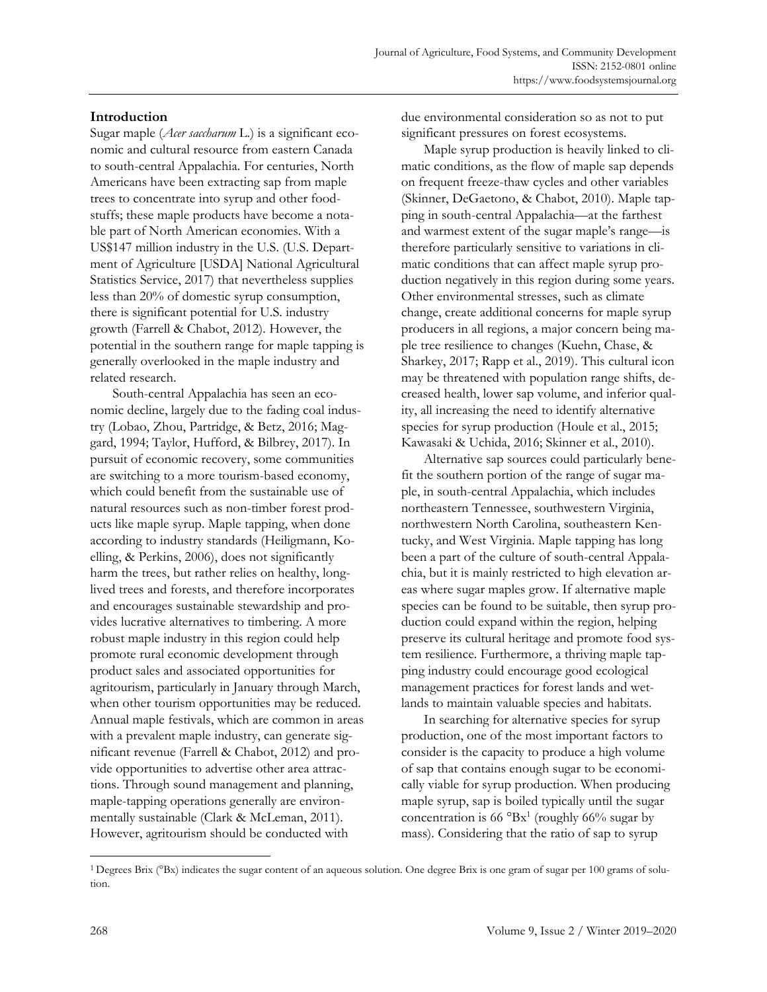# **Introduction**

Sugar maple (*Acer saccharum* L.) is a significant economic and cultural resource from eastern Canada to south-central Appalachia. For centuries, North Americans have been extracting sap from maple trees to concentrate into syrup and other foodstuffs; these maple products have become a notable part of North American economies. With a US\$147 million industry in the U.S. (U.S. Department of Agriculture [USDA] National Agricultural Statistics Service, 2017) that nevertheless supplies less than 20% of domestic syrup consumption, there is significant potential for U.S. industry growth (Farrell & Chabot, 2012). However, the potential in the southern range for maple tapping is generally overlooked in the maple industry and related research.

 South-central Appalachia has seen an economic decline, largely due to the fading coal industry (Lobao, Zhou, Partridge, & Betz, 2016; Maggard, 1994; Taylor, Hufford, & Bilbrey, 2017). In pursuit of economic recovery, some communities are switching to a more tourism-based economy, which could benefit from the sustainable use of natural resources such as non-timber forest products like maple syrup. Maple tapping, when done according to industry standards (Heiligmann, Koelling, & Perkins, 2006), does not significantly harm the trees, but rather relies on healthy, longlived trees and forests, and therefore incorporates and encourages sustainable stewardship and provides lucrative alternatives to timbering. A more robust maple industry in this region could help promote rural economic development through product sales and associated opportunities for agritourism, particularly in January through March, when other tourism opportunities may be reduced. Annual maple festivals, which are common in areas with a prevalent maple industry, can generate significant revenue (Farrell & Chabot, 2012) and provide opportunities to advertise other area attractions. Through sound management and planning, maple-tapping operations generally are environmentally sustainable (Clark & McLeman, 2011). However, agritourism should be conducted with

due environmental consideration so as not to put significant pressures on forest ecosystems.

 Maple syrup production is heavily linked to climatic conditions, as the flow of maple sap depends on frequent freeze-thaw cycles and other variables (Skinner, DeGaetono, & Chabot, 2010). Maple tapping in south-central Appalachia—at the farthest and warmest extent of the sugar maple's range—is therefore particularly sensitive to variations in climatic conditions that can affect maple syrup production negatively in this region during some years. Other environmental stresses, such as climate change, create additional concerns for maple syrup producers in all regions, a major concern being maple tree resilience to changes (Kuehn, Chase, & Sharkey, 2017; Rapp et al., 2019). This cultural icon may be threatened with population range shifts, decreased health, lower sap volume, and inferior quality, all increasing the need to identify alternative species for syrup production (Houle et al., 2015; Kawasaki & Uchida, 2016; Skinner et al., 2010).

 Alternative sap sources could particularly benefit the southern portion of the range of sugar maple, in south-central Appalachia, which includes northeastern Tennessee, southwestern Virginia, northwestern North Carolina, southeastern Kentucky, and West Virginia. Maple tapping has long been a part of the culture of south-central Appalachia, but it is mainly restricted to high elevation areas where sugar maples grow. If alternative maple species can be found to be suitable, then syrup production could expand within the region, helping preserve its cultural heritage and promote food system resilience. Furthermore, a thriving maple tapping industry could encourage good ecological management practices for forest lands and wetlands to maintain valuable species and habitats.

 In searching for alternative species for syrup production, one of the most important factors to consider is the capacity to produce a high volume of sap that contains enough sugar to be economically viable for syrup production. When producing maple syrup, sap is boiled typically until the sugar concentration is  $66 \text{ }^{\circ} \text{Bx}^{1}$  (roughly  $66\%$  sugar by mass). Considering that the ratio of sap to syrup

<sup>&</sup>lt;sup>1</sup> Degrees Brix ( $\textdegree$ Bx) indicates the sugar content of an aqueous solution. One degree Brix is one gram of sugar per 100 grams of solution.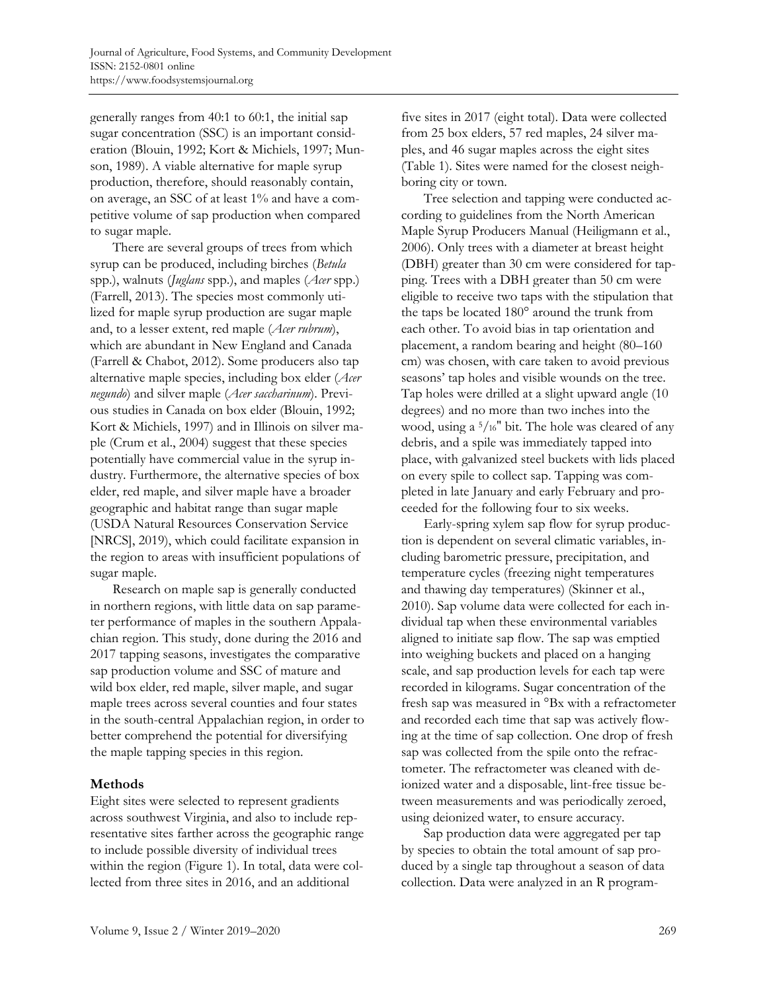generally ranges from 40:1 to 60:1, the initial sap sugar concentration (SSC) is an important consideration (Blouin, 1992; Kort & Michiels, 1997; Munson, 1989). A viable alternative for maple syrup production, therefore, should reasonably contain, on average, an SSC of at least 1% and have a competitive volume of sap production when compared to sugar maple.

 There are several groups of trees from which syrup can be produced, including birches (*Betula* spp.), walnuts (*Juglans* spp.), and maples (*Acer* spp.) (Farrell, 2013). The species most commonly utilized for maple syrup production are sugar maple and, to a lesser extent, red maple (*Acer rubrum*), which are abundant in New England and Canada (Farrell & Chabot, 2012). Some producers also tap alternative maple species, including box elder (*Acer negundo*) and silver maple (*Acer saccharinum*). Previous studies in Canada on box elder (Blouin, 1992; Kort & Michiels, 1997) and in Illinois on silver maple (Crum et al., 2004) suggest that these species potentially have commercial value in the syrup industry. Furthermore, the alternative species of box elder, red maple, and silver maple have a broader geographic and habitat range than sugar maple (USDA Natural Resources Conservation Service [NRCS], 2019), which could facilitate expansion in the region to areas with insufficient populations of sugar maple.

 Research on maple sap is generally conducted in northern regions, with little data on sap parameter performance of maples in the southern Appalachian region. This study, done during the 2016 and 2017 tapping seasons, investigates the comparative sap production volume and SSC of mature and wild box elder, red maple, silver maple, and sugar maple trees across several counties and four states in the south-central Appalachian region, in order to better comprehend the potential for diversifying the maple tapping species in this region.

# **Methods**

Eight sites were selected to represent gradients across southwest Virginia, and also to include representative sites farther across the geographic range to include possible diversity of individual trees within the region (Figure 1). In total, data were collected from three sites in 2016, and an additional

five sites in 2017 (eight total). Data were collected from 25 box elders, 57 red maples, 24 silver maples, and 46 sugar maples across the eight sites (Table 1). Sites were named for the closest neighboring city or town.

 Tree selection and tapping were conducted according to guidelines from the North American Maple Syrup Producers Manual (Heiligmann et al., 2006). Only trees with a diameter at breast height (DBH) greater than 30 cm were considered for tapping. Trees with a DBH greater than 50 cm were eligible to receive two taps with the stipulation that the taps be located 180° around the trunk from each other. To avoid bias in tap orientation and placement, a random bearing and height (80–160 cm) was chosen, with care taken to avoid previous seasons' tap holes and visible wounds on the tree. Tap holes were drilled at a slight upward angle (10 degrees) and no more than two inches into the wood, using a 5/16" bit. The hole was cleared of any debris, and a spile was immediately tapped into place, with galvanized steel buckets with lids placed on every spile to collect sap. Tapping was completed in late January and early February and proceeded for the following four to six weeks.

 Early-spring xylem sap flow for syrup production is dependent on several climatic variables, including barometric pressure, precipitation, and temperature cycles (freezing night temperatures and thawing day temperatures) (Skinner et al., 2010). Sap volume data were collected for each individual tap when these environmental variables aligned to initiate sap flow. The sap was emptied into weighing buckets and placed on a hanging scale, and sap production levels for each tap were recorded in kilograms. Sugar concentration of the fresh sap was measured in °Bx with a refractometer and recorded each time that sap was actively flowing at the time of sap collection. One drop of fresh sap was collected from the spile onto the refractometer. The refractometer was cleaned with deionized water and a disposable, lint-free tissue between measurements and was periodically zeroed, using deionized water, to ensure accuracy.

 Sap production data were aggregated per tap by species to obtain the total amount of sap produced by a single tap throughout a season of data collection. Data were analyzed in an R program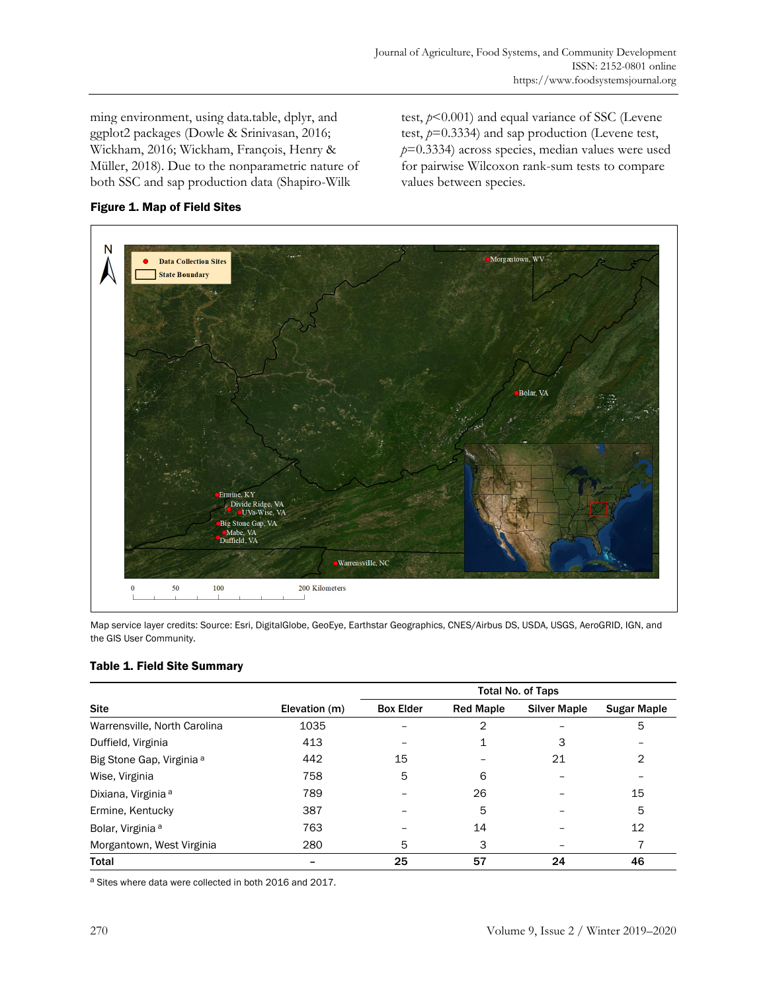ming environment, using data.table, dplyr, and ggplot2 packages (Dowle & Srinivasan, 2016; Wickham, 2016; Wickham, François, Henry & Müller, 2018). Due to the nonparametric nature of both SSC and sap production data (Shapiro-Wilk

test, *p*<0.001) and equal variance of SSC (Levene test, *p*=0.3334) and sap production (Levene test, *p*=0.3334) across species, median values were used for pairwise Wilcoxon rank-sum tests to compare values between species.



# Figure 1. Map of Field Sites

Map service layer credits: Source: Esri, DigitalGlobe, GeoEye, Earthstar Geographics, CNES/Airbus DS, USDA, USGS, AeroGRID, IGN, and the GIS User Community.

# Table 1. Field Site Summary

| <b>Site</b>                          | Elevation (m) | <b>Total No. of Taps</b> |                  |                     |                    |
|--------------------------------------|---------------|--------------------------|------------------|---------------------|--------------------|
|                                      |               | <b>Box Elder</b>         | <b>Red Maple</b> | <b>Silver Maple</b> | <b>Sugar Maple</b> |
| Warrensville, North Carolina         | 1035          |                          | 2                |                     | 5                  |
| Duffield, Virginia                   | 413           |                          |                  | 3                   |                    |
| Big Stone Gap, Virginia <sup>a</sup> | 442           | 15                       |                  | 21                  | 2                  |
| Wise, Virginia                       | 758           | 5                        | 6                |                     |                    |
| Dixiana, Virginia <sup>a</sup>       | 789           |                          | 26               |                     | 15                 |
| Ermine, Kentucky                     | 387           |                          | 5                |                     | 5                  |
| Bolar, Virginia <sup>a</sup>         | 763           |                          | 14               |                     | 12                 |
| Morgantown, West Virginia            | 280           | 5                        | 3                |                     |                    |
| Total                                |               | 25                       | 57               | 24                  | 46                 |

a Sites where data were collected in both 2016 and 2017.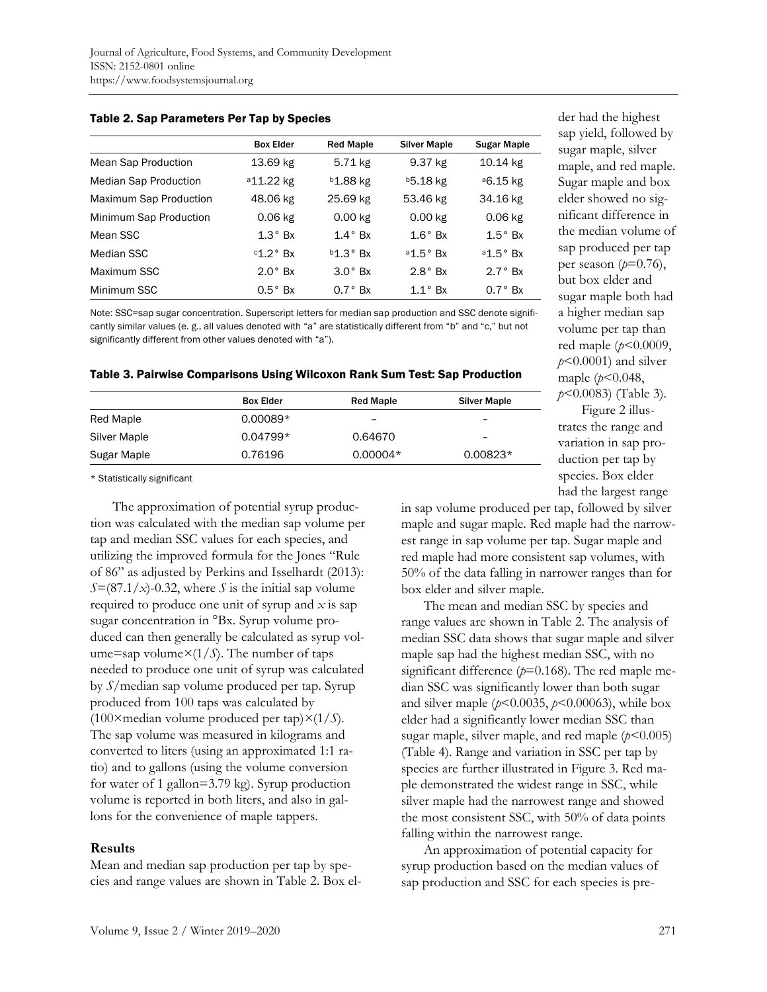|                               | <b>Box Elder</b>      | <b>Red Maple</b>     | <b>Silver Maple</b>  | <b>Sugar Maple</b>   |
|-------------------------------|-----------------------|----------------------|----------------------|----------------------|
| Mean Sap Production           | 13.69 kg              | 5.71 kg              | 9.37 kg              | 10.14 kg             |
| <b>Median Sap Production</b>  | <sup>a</sup> 11.22 kg | <sup>b</sup> 1.88 kg | <sup>b</sup> 5.18 kg | <sup>a</sup> 6.15 kg |
| <b>Maximum Sap Production</b> | 48.06 kg              | 25.69 kg             | 53.46 kg             | 34.16 kg             |
| Minimum Sap Production        | $0.06$ kg             | $0.00$ kg            | $0.00$ kg            | $0.06$ kg            |
| Mean SSC                      | $1.3^\circ$ Bx        | $1.4^\circ$ Bx       | $1.6^\circ$ Bx       | $1.5^\circ$ Bx       |
| Median SSC                    | $c1.2^\circ$ Bx       | $b1.3^\circ$ Bx      | $a1.5^\circ$ Bx      | $a1.5^\circ$ Bx      |
| Maximum SSC                   | $2.0^\circ$ Bx        | $3.0^\circ$ Bx       | $2.8^\circ$ Bx       | $2.7^\circ$ Rx       |
| Minimum SSC                   | $0.5^\circ$ Bx        | $0.7^\circ$ Bx       | $1.1^\circ$ Bx       | $0.7^\circ$ Bx       |

#### Table 2. Sap Parameters Per Tap by Species

Note: SSC=sap sugar concentration. Superscript letters for median sap production and SSC denote significantly similar values (e. g., all values denoted with "a" are statistically different from "b" and "c," but not significantly different from other values denoted with "a").

#### Table 3. Pairwise Comparisons Using Wilcoxon Rank Sum Test: Sap Production

|              | <b>Box Elder</b> | <b>Red Maple</b>         |                     |
|--------------|------------------|--------------------------|---------------------|
|              |                  |                          | <b>Silver Maple</b> |
| Red Maple    | $0.00089*$       | $\overline{\phantom{0}}$ | -                   |
| Silver Maple | $0.04799*$       | 0.64670                  | -                   |
| Sugar Maple  | 0.76196          | $0.00004*$               | $0.00823*$          |

der had the highest sap yield, followed by sugar maple, silver maple, and red maple. Sugar maple and box elder showed no significant difference in the median volume of sap produced per tap per season  $(p=0.76)$ , but box elder and sugar maple both had a higher median sap volume per tap than red maple (*p*<0.0009, *p*<0.0001) and silver maple (*p*<0.048, *p*<0.0083) (Table 3).

 Figure 2 illustrates the range and variation in sap production per tap by species. Box elder had the largest range

\* Statistically significant

 The approximation of potential syrup production was calculated with the median sap volume per tap and median SSC values for each species, and utilizing the improved formula for the Jones "Rule of 86" as adjusted by Perkins and Isselhardt (2013):  $S = (87.1/x) - 0.32$ , where *S* is the initial sap volume required to produce one unit of syrup and *x* is sap sugar concentration in °Bx. Syrup volume produced can then generally be calculated as syrup volume=sap volume*×*(1/*S*). The number of taps needed to produce one unit of syrup was calculated by *S*/median sap volume produced per tap. Syrup produced from 100 taps was calculated by (100×median volume produced per tap)*×*(1/*S*). The sap volume was measured in kilograms and converted to liters (using an approximated 1:1 ratio) and to gallons (using the volume conversion for water of 1 gallon=3.79 kg). Syrup production volume is reported in both liters, and also in gallons for the convenience of maple tappers.

#### **Results**

Mean and median sap production per tap by species and range values are shown in Table 2. Box elin sap volume produced per tap, followed by silver maple and sugar maple. Red maple had the narrowest range in sap volume per tap. Sugar maple and red maple had more consistent sap volumes, with 50% of the data falling in narrower ranges than for box elder and silver maple.

 The mean and median SSC by species and range values are shown in Table 2. The analysis of median SSC data shows that sugar maple and silver maple sap had the highest median SSC, with no significant difference  $(p=0.168)$ . The red maple median SSC was significantly lower than both sugar and silver maple  $(p<0.0035, p<0.00063)$ , while box elder had a significantly lower median SSC than sugar maple, silver maple, and red maple ( $p$ <0.005) (Table 4). Range and variation in SSC per tap by species are further illustrated in Figure 3. Red maple demonstrated the widest range in SSC, while silver maple had the narrowest range and showed the most consistent SSC, with 50% of data points falling within the narrowest range.

 An approximation of potential capacity for syrup production based on the median values of sap production and SSC for each species is pre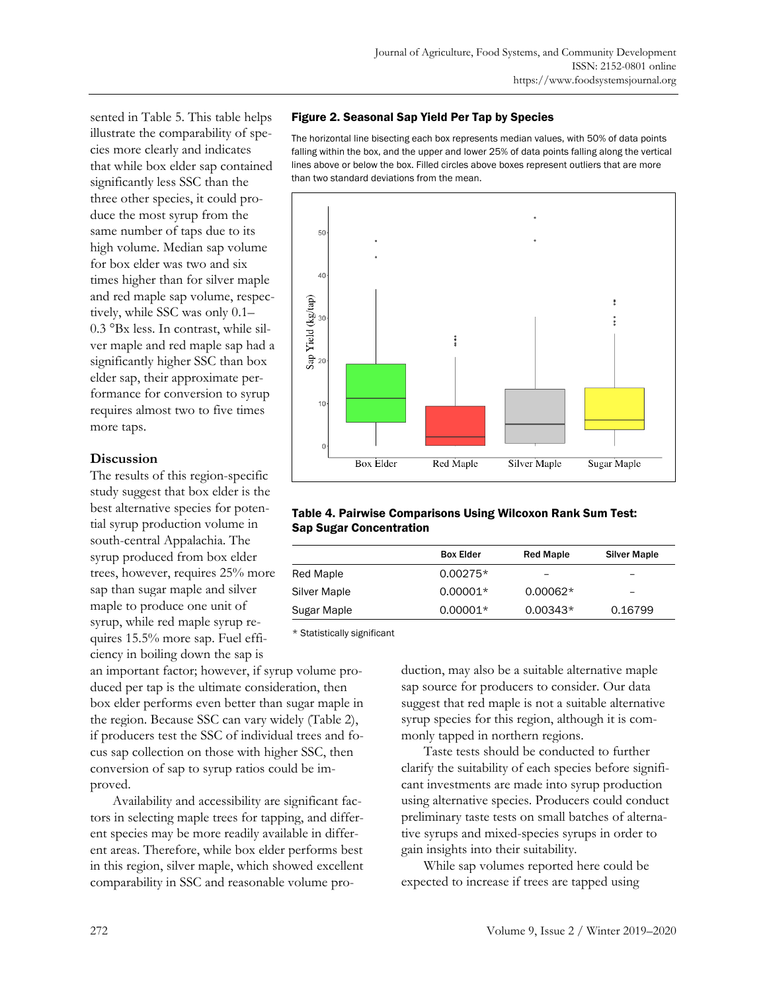sented in Table 5. This table helps illustrate the comparability of species more clearly and indicates that while box elder sap contained significantly less SSC than the three other species, it could produce the most syrup from the same number of taps due to its high volume. Median sap volume for box elder was two and six times higher than for silver maple and red maple sap volume, respectively, while SSC was only 0.1– 0.3 °Bx less. In contrast, while silver maple and red maple sap had a significantly higher SSC than box elder sap, their approximate performance for conversion to syrup requires almost two to five times more taps.

# **Discussion**

The results of this region-specific study suggest that box elder is the best alternative species for potential syrup production volume in south-central Appalachia. The syrup produced from box elder trees, however, requires 25% more sap than sugar maple and silver maple to produce one unit of syrup, while red maple syrup requires 15.5% more sap. Fuel efficiency in boiling down the sap is

an important factor; however, if syrup volume produced per tap is the ultimate consideration, then box elder performs even better than sugar maple in the region. Because SSC can vary widely (Table 2), if producers test the SSC of individual trees and focus sap collection on those with higher SSC, then conversion of sap to syrup ratios could be improved.

 Availability and accessibility are significant factors in selecting maple trees for tapping, and different species may be more readily available in different areas. Therefore, while box elder performs best in this region, silver maple, which showed excellent comparability in SSC and reasonable volume pro-

## Figure 2. Seasonal Sap Yield Per Tap by Species

The horizontal line bisecting each box represents median values, with 50% of data points falling within the box, and the upper and lower 25% of data points falling along the vertical lines above or below the box. Filled circles above boxes represent outliers that are more than two standard deviations from the mean.



### Table 4. Pairwise Comparisons Using Wilcoxon Rank Sum Test: Sap Sugar Concentration

|              | <b>Box Elder</b> | <b>Red Maple</b>         | <b>Silver Maple</b> |
|--------------|------------------|--------------------------|---------------------|
| Red Maple    | $0.00275*$       | $\overline{\phantom{0}}$ | -                   |
| Silver Maple | $0.00001*$       | $0.00062*$               | -                   |
| Sugar Maple  | $0.00001*$       | $0.00343*$               | 0.16799             |

\* Statistically significant

duction, may also be a suitable alternative maple sap source for producers to consider. Our data suggest that red maple is not a suitable alternative syrup species for this region, although it is commonly tapped in northern regions.

 Taste tests should be conducted to further clarify the suitability of each species before significant investments are made into syrup production using alternative species. Producers could conduct preliminary taste tests on small batches of alternative syrups and mixed-species syrups in order to gain insights into their suitability.

 While sap volumes reported here could be expected to increase if trees are tapped using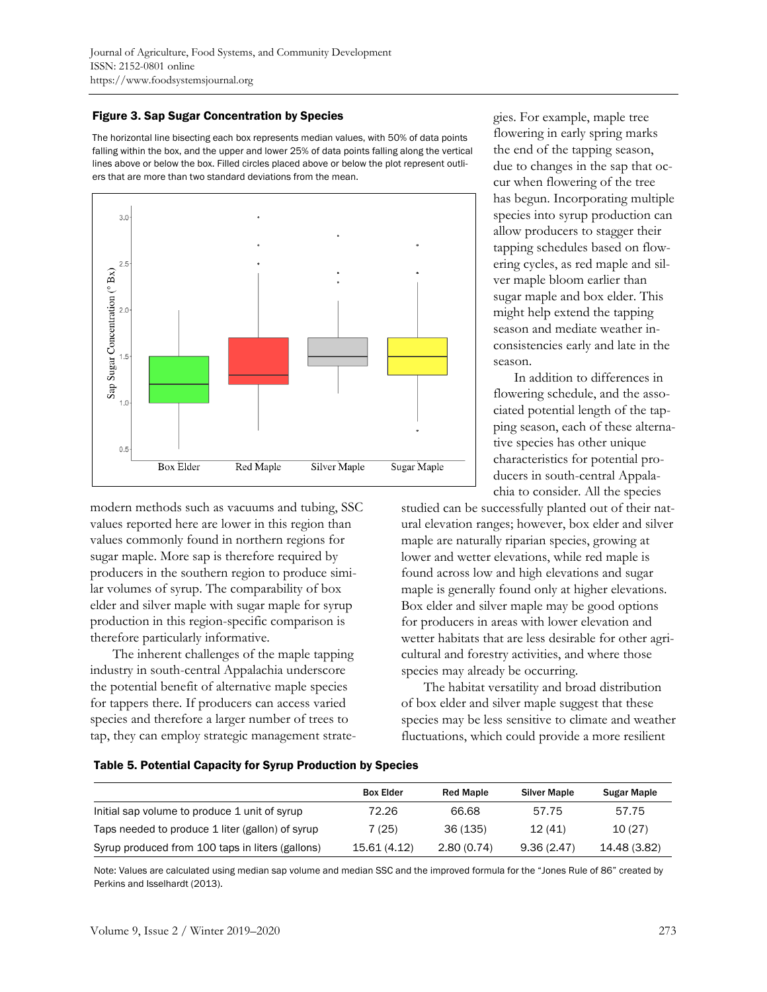# Figure 3. Sap Sugar Concentration by Species

The horizontal line bisecting each box represents median values, with 50% of data points falling within the box, and the upper and lower 25% of data points falling along the vertical lines above or below the box. Filled circles placed above or below the plot represent outliers that are more than two standard deviations from the mean.



modern methods such as vacuums and tubing, SSC values reported here are lower in this region than values commonly found in northern regions for sugar maple. More sap is therefore required by producers in the southern region to produce similar volumes of syrup. The comparability of box elder and silver maple with sugar maple for syrup production in this region-specific comparison is therefore particularly informative.

 The inherent challenges of the maple tapping industry in south-central Appalachia underscore the potential benefit of alternative maple species for tappers there. If producers can access varied species and therefore a larger number of trees to tap, they can employ strategic management strategies. For example, maple tree flowering in early spring marks the end of the tapping season, due to changes in the sap that occur when flowering of the tree has begun. Incorporating multiple species into syrup production can allow producers to stagger their tapping schedules based on flowering cycles, as red maple and silver maple bloom earlier than sugar maple and box elder. This might help extend the tapping season and mediate weather inconsistencies early and late in the season.

 In addition to differences in flowering schedule, and the associated potential length of the tapping season, each of these alternative species has other unique characteristics for potential producers in south-central Appalachia to consider. All the species

studied can be successfully planted out of their natural elevation ranges; however, box elder and silver maple are naturally riparian species, growing at lower and wetter elevations, while red maple is found across low and high elevations and sugar maple is generally found only at higher elevations. Box elder and silver maple may be good options for producers in areas with lower elevation and wetter habitats that are less desirable for other agricultural and forestry activities, and where those species may already be occurring.

 The habitat versatility and broad distribution of box elder and silver maple suggest that these species may be less sensitive to climate and weather fluctuations, which could provide a more resilient

### Table 5. Potential Capacity for Syrup Production by Species

|                                                  | <b>Box Elder</b> | <b>Red Maple</b> | <b>Silver Maple</b> | Sugar Maple  |
|--------------------------------------------------|------------------|------------------|---------------------|--------------|
| Initial sap volume to produce 1 unit of syrup    | 72.26            | 66.68            | 57.75               | 57.75        |
| Taps needed to produce 1 liter (gallon) of syrup | 7 (25)           | 36 (135)         | 12(41)              | 10(27)       |
| Syrup produced from 100 taps in liters (gallons) | 15.61 (4.12)     | 2.80(0.74)       | 9.36(2.47)          | 14.48 (3.82) |

Note: Values are calculated using median sap volume and median SSC and the improved formula for the "Jones Rule of 86" created by Perkins and Isselhardt (2013).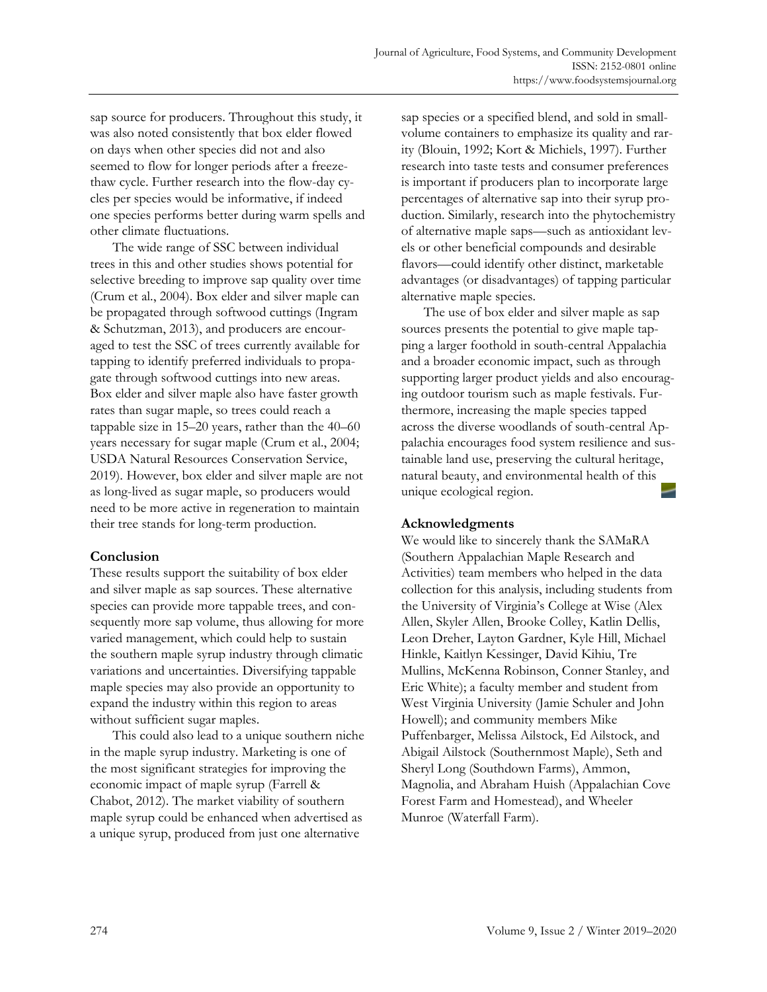sap source for producers. Throughout this study, it was also noted consistently that box elder flowed on days when other species did not and also seemed to flow for longer periods after a freezethaw cycle. Further research into the flow-day cycles per species would be informative, if indeed one species performs better during warm spells and other climate fluctuations.

 The wide range of SSC between individual trees in this and other studies shows potential for selective breeding to improve sap quality over time (Crum et al., 2004). Box elder and silver maple can be propagated through softwood cuttings (Ingram & Schutzman, 2013), and producers are encouraged to test the SSC of trees currently available for tapping to identify preferred individuals to propagate through softwood cuttings into new areas. Box elder and silver maple also have faster growth rates than sugar maple, so trees could reach a tappable size in 15–20 years, rather than the 40–60 years necessary for sugar maple (Crum et al., 2004; USDA Natural Resources Conservation Service, 2019). However, box elder and silver maple are not as long-lived as sugar maple, so producers would need to be more active in regeneration to maintain their tree stands for long-term production.

# **Conclusion**

These results support the suitability of box elder and silver maple as sap sources. These alternative species can provide more tappable trees, and consequently more sap volume, thus allowing for more varied management, which could help to sustain the southern maple syrup industry through climatic variations and uncertainties. Diversifying tappable maple species may also provide an opportunity to expand the industry within this region to areas without sufficient sugar maples.

 This could also lead to a unique southern niche in the maple syrup industry. Marketing is one of the most significant strategies for improving the economic impact of maple syrup (Farrell & Chabot, 2012). The market viability of southern maple syrup could be enhanced when advertised as a unique syrup, produced from just one alternative

sap species or a specified blend, and sold in smallvolume containers to emphasize its quality and rarity (Blouin, 1992; Kort & Michiels, 1997). Further research into taste tests and consumer preferences is important if producers plan to incorporate large percentages of alternative sap into their syrup production. Similarly, research into the phytochemistry of alternative maple saps—such as antioxidant levels or other beneficial compounds and desirable flavors—could identify other distinct, marketable advantages (or disadvantages) of tapping particular alternative maple species.

 The use of box elder and silver maple as sap sources presents the potential to give maple tapping a larger foothold in south-central Appalachia and a broader economic impact, such as through supporting larger product yields and also encouraging outdoor tourism such as maple festivals. Furthermore, increasing the maple species tapped across the diverse woodlands of south-central Appalachia encourages food system resilience and sustainable land use, preserving the cultural heritage, natural beauty, and environmental health of this unique ecological region.

# **Acknowledgments**

We would like to sincerely thank the SAMaRA (Southern Appalachian Maple Research and Activities) team members who helped in the data collection for this analysis, including students from the University of Virginia's College at Wise (Alex Allen, Skyler Allen, Brooke Colley, Katlin Dellis, Leon Dreher, Layton Gardner, Kyle Hill, Michael Hinkle, Kaitlyn Kessinger, David Kihiu, Tre Mullins, McKenna Robinson, Conner Stanley, and Eric White); a faculty member and student from West Virginia University (Jamie Schuler and John Howell); and community members Mike Puffenbarger, Melissa Ailstock, Ed Ailstock, and Abigail Ailstock (Southernmost Maple), Seth and Sheryl Long (Southdown Farms), Ammon, Magnolia, and Abraham Huish (Appalachian Cove Forest Farm and Homestead), and Wheeler Munroe (Waterfall Farm).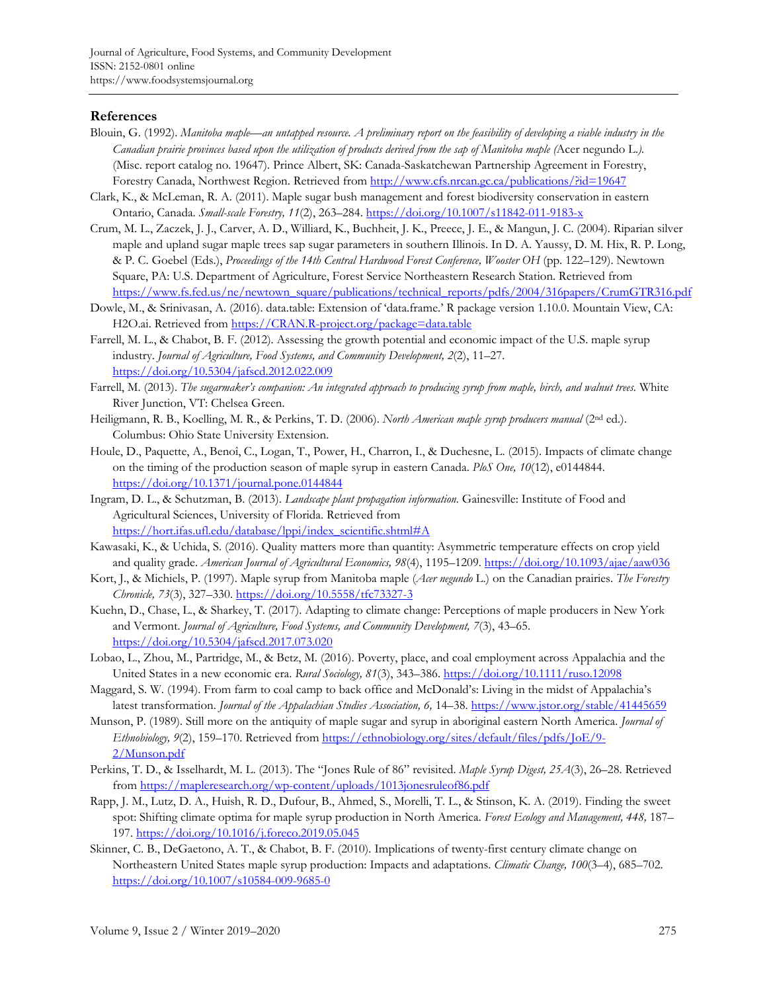# **References**

- Blouin, G. (1992). *Manitoba maple—an untapped resource. A preliminary report on the feasibility of developing a viable industry in the Canadian prairie provinces based upon the utilization of products derived from the sap of Manitoba maple (*Acer negundo L.*).*  (Misc. report catalog no. 19647). Prince Albert, SK: Canada-Saskatchewan Partnership Agreement in Forestry, Forestry Canada, Northwest Region. Retrieved from http://www.cfs.nrcan.gc.ca/publications/?id=19647
- Clark, K., & McLeman, R. A. (2011). Maple sugar bush management and forest biodiversity conservation in eastern Ontario, Canada. *Small-scale Forestry, 11*(2), 263–284. https://doi.org/10.1007/s11842-011-9183-x
- Crum, M. L., Zaczek, J. J., Carver, A. D., Williard, K., Buchheit, J. K., Preece, J. E., & Mangun, J. C. (2004). Riparian silver maple and upland sugar maple trees sap sugar parameters in southern Illinois. In D. A. Yaussy, D. M. Hix, R. P. Long, & P. C. Goebel (Eds.), *Proceedings of the 14th Central Hardwood Forest Conference, Wooster OH* (pp. 122–129). Newtown Square, PA: U.S. Department of Agriculture, Forest Service Northeastern Research Station. Retrieved from https://www.fs.fed.us/ne/newtown\_square/publications/technical\_reports/pdfs/2004/316papers/CrumGTR316.pdf
- Dowle, M., & Srinivasan, A. (2016). data.table: Extension of 'data.frame.' R package version 1.10.0. Mountain View, CA: H2O.ai. Retrieved from https://CRAN.R-project.org/package=data.table
- Farrell, M. L., & Chabot, B. F. (2012). Assessing the growth potential and economic impact of the U.S. maple syrup industry. *Journal of Agriculture, Food Systems, and Community Development, 2*(2), 11–27. https://doi.org/10.5304/jafscd.2012.022.009
- Farrell, M. (2013). *The sugarmaker's companion: An integrated approach to producing syrup from maple, birch, and walnut trees.* White River Junction, VT: Chelsea Green.
- Heiligmann, R. B., Koelling, M. R., & Perkins, T. D. (2006). *North American maple syrup producers manual* (2nd ed.). Columbus: Ohio State University Extension.
- Houle, D., Paquette, A., Benoî, C., Logan, T., Power, H., Charron, I., & Duchesne, L. (2015). Impacts of climate change on the timing of the production season of maple syrup in eastern Canada. *PloS One, 10*(12), e0144844. https://doi.org/10.1371/journal.pone.0144844
- Ingram, D. L., & Schutzman, B. (2013). *Landscape plant propagation information.* Gainesville: Institute of Food and Agricultural Sciences, University of Florida. Retrieved from https://hort.ifas.ufl.edu/database/lppi/index\_scientific.shtml#A
- Kawasaki, K., & Uchida, S. (2016). Quality matters more than quantity: Asymmetric temperature effects on crop yield and quality grade. *American Journal of Agricultural Economics, 98*(4), 1195–1209. https://doi.org/10.1093/ajae/aaw036
- Kort, J., & Michiels, P. (1997). Maple syrup from Manitoba maple (*Acer negundo* L.) on the Canadian prairies. *The Forestry Chronicle, 73*(3), 327–330. https://doi.org/10.5558/tfc73327-3
- Kuehn, D., Chase, L., & Sharkey, T. (2017). Adapting to climate change: Perceptions of maple producers in New York and Vermont. *Journal of Agriculture, Food Systems, and Community Development, 7*(3), 43–65. https://doi.org/10.5304/jafscd.2017.073.020
- Lobao, L., Zhou, M., Partridge, M., & Betz, M. (2016). Poverty, place, and coal employment across Appalachia and the United States in a new economic era. *Rural Sociology, 81*(3), 343–386. https://doi.org/10.1111/ruso.12098
- Maggard, S. W. (1994). From farm to coal camp to back office and McDonald's: Living in the midst of Appalachia's latest transformation. *Journal of the Appalachian Studies Association, 6,* 14–38. https://www.jstor.org/stable/41445659
- Munson, P. (1989). Still more on the antiquity of maple sugar and syrup in aboriginal eastern North America. *Journal of Ethnobiology, 9*[\(2\), 159–170. Retrieved from https://ethnobiology.org/sites/default/files/pdfs/JoE/9-](https://ethnobiology.org/sites/default/files/pdfs/JoE/9-2/Munson.pdf) 2/Munson.pdf
- Perkins, T. D., & Isselhardt, M. L. (2013). The "Jones Rule of 86" revisited. *Maple Syrup Digest, 25A*(3), 26–28. Retrieved from https://mapleresearch.org/wp-content/uploads/1013jonesruleof86.pdf
- Rapp, J. M., Lutz, D. A., Huish, R. D., Dufour, B., Ahmed, S., Morelli, T. L., & Stinson, K. A. (2019). Finding the sweet spot: Shifting climate optima for maple syrup production in North America. *Forest Ecology and Management, 448,* 187– 197. https://doi.org/10.1016/j.foreco.2019.05.045
- Skinner, C. B., DeGaetono, A. T., & Chabot, B. F. (2010). Implications of twenty-first century climate change on Northeastern United States maple syrup production: Impacts and adaptations. *Climatic Change, 100*(3–4), 685–702. https://doi.org/10.1007/s10584-009-9685-0